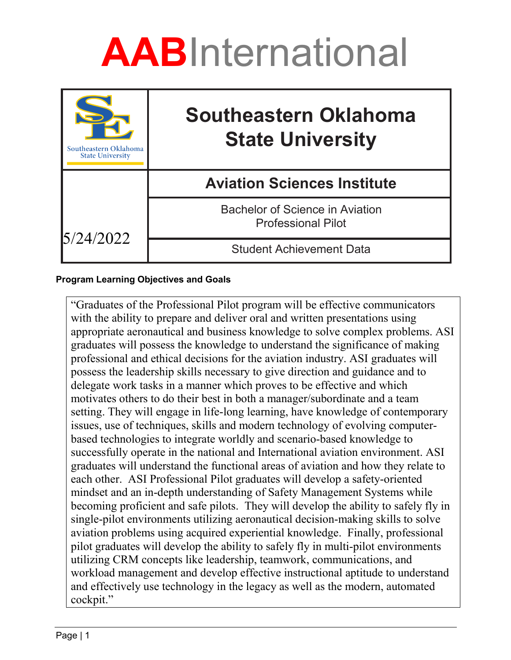

| Southeastern Oklahoma<br><b>State University</b> | <b>Southeastern Oklahoma</b><br><b>State University</b>             |
|--------------------------------------------------|---------------------------------------------------------------------|
|                                                  | <b>Aviation Sciences Institute</b>                                  |
| 5/24/2022                                        | <b>Bachelor of Science in Aviation</b><br><b>Professional Pilot</b> |
|                                                  | <b>Student Achievement Data</b>                                     |

#### **Program Learning Objectives and Goals**

"Graduates of the Professional Pilot program will be effective communicators with the ability to prepare and deliver oral and written presentations using appropriate aeronautical and business knowledge to solve complex problems. ASI graduates will possess the knowledge to understand the significance of making professional and ethical decisions for the aviation industry. ASI graduates will possess the leadership skills necessary to give direction and guidance and to delegate work tasks in a manner which proves to be effective and which motivates others to do their best in both a manager/subordinate and a team setting. They will engage in life-long learning, have knowledge of contemporary issues, use of techniques, skills and modern technology of evolving computerbased technologies to integrate worldly and scenario-based knowledge to successfully operate in the national and International aviation environment. ASI graduates will understand the functional areas of aviation and how they relate to each other. ASI Professional Pilot graduates will develop a safety-oriented mindset and an in-depth understanding of Safety Management Systems while becoming proficient and safe pilots. They will develop the ability to safely fly in single-pilot environments utilizing aeronautical decision-making skills to solve aviation problems using acquired experiential knowledge. Finally, professional pilot graduates will develop the ability to safely fly in multi-pilot environments utilizing CRM concepts like leadership, teamwork, communications, and workload management and develop effective instructional aptitude to understand and effectively use technology in the legacy as well as the modern, automated cockpit."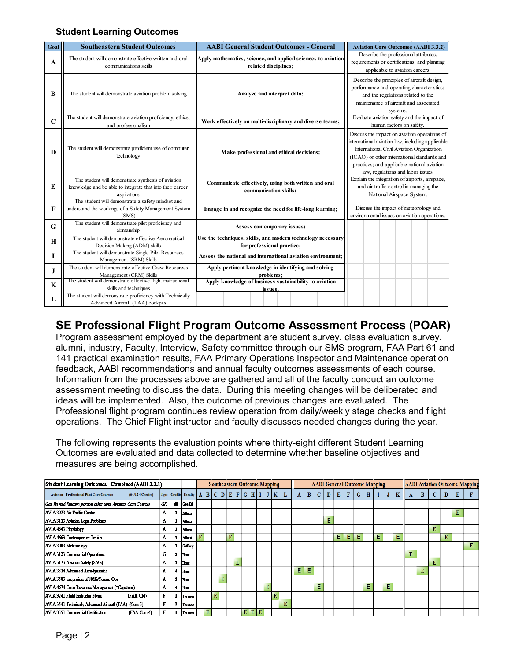#### **Student Learning Outcomes**

| Goal        | <b>Southeastern Student Outcomes</b>                                                                                           | <b>AABI General Student Outcomes - General</b>                                            | <b>Aviation Core Outcomes (AABI 3.3.2)</b>                                                                                                                                                                                                                                        |  |  |  |  |  |  |
|-------------|--------------------------------------------------------------------------------------------------------------------------------|-------------------------------------------------------------------------------------------|-----------------------------------------------------------------------------------------------------------------------------------------------------------------------------------------------------------------------------------------------------------------------------------|--|--|--|--|--|--|
| A           | The student will demonstrate effective written and oral<br>communications skills                                               | Apply mathematics, science, and applied sciences to aviation<br>related disciplines;      | Describe the professional attributes,<br>requirements or certifications, and planning<br>applicable to aviation careers.                                                                                                                                                          |  |  |  |  |  |  |
| B           | The student will demonstrate aviation problem solving                                                                          | Analyze and interpret data;                                                               | Describe the principles of aircraft design,<br>performance and operating characteristics;<br>and the regulations related to the<br>maintenance of aircraft and associated<br>systems.                                                                                             |  |  |  |  |  |  |
| $\mathbf C$ | The student will demonstrate aviation proficiency, ethics,<br>and professionalism                                              | Work effectively on multi-disciplinary and diverse teams;                                 | Evaluate aviation safety and the impact of<br>human factors on safety.                                                                                                                                                                                                            |  |  |  |  |  |  |
| D           | The student will demonstrate proficient use of computer<br>technology                                                          | Make professional and ethical decisions;                                                  | Discuss the impact on aviation operations of<br>international aviation law, including applicable<br>International Civil Aviation Organization<br>(ICAO) or other international standards and<br>practices; and applicable national aviation<br>law, regulations and labor issues. |  |  |  |  |  |  |
| E           | The student will demonstrate synthesis of aviation<br>knowledge and be able to integrate that into their career<br>aspirations | Communicate effectively, using both written and oral<br>communication skills;             | Explain the integration of airports, airspace,<br>and air traffic control in managing the<br>National Airspace System.                                                                                                                                                            |  |  |  |  |  |  |
| F           | The student will demonstrate a safety mindset and<br>understand the workings of a Safety Management System<br>(SMS)            | Engage in and recognize the need for life-long learning;                                  | Discuss the impact of meteorology and<br>environmental issues on aviation operations.                                                                                                                                                                                             |  |  |  |  |  |  |
| G           | The student will demonstrate pilot proficiency and<br>airmanship                                                               | Assess contemporary issues;                                                               |                                                                                                                                                                                                                                                                                   |  |  |  |  |  |  |
| H           | The student will demonstrate effective Aeronautical<br>Decision Making (ADM) skills                                            | Use the techniques, skills, and modern technology necessary<br>for professional practice; |                                                                                                                                                                                                                                                                                   |  |  |  |  |  |  |
| Т           | The student will demonstrate Single Pilot Resources<br>Management (SRM) Skills                                                 | Assess the national and international aviation environment:                               |                                                                                                                                                                                                                                                                                   |  |  |  |  |  |  |
| J           | The student will demonstrate effective Crew Resources<br>Management (CRM) Skills                                               | Apply pertinent knowledge in identifying and solving<br>problems:                         |                                                                                                                                                                                                                                                                                   |  |  |  |  |  |  |
| $\mathbf K$ | The student will demonstrate effective flight instructional<br>skills and techniques                                           | Apply knowledge of business sustainability to aviation<br>issues.                         |                                                                                                                                                                                                                                                                                   |  |  |  |  |  |  |
| L           | The student will demonstrate proficiency with Technically<br>Advanced Aircraft (TAA) cockpits                                  |                                                                                           |                                                                                                                                                                                                                                                                                   |  |  |  |  |  |  |

### **SE Professional Flight Program Outcome Assessment Process (POAR)**

Program assessment employed by the department are student survey, class evaluation survey, alumni, industry, Faculty, Interview, Safety committee through our SMS program, FAA Part 61 and 141 practical examination results, FAA Primary Operations Inspector and Maintenance operation feedback, AABI recommendations and annual faculty outcomes assessments of each course. Information from the processes above are gathered and all of the faculty conduct an outcome assessment meeting to discuss the data. During this meeting changes will be deliberated and ideas will be implemented. Also, the outcome of previous changes are evaluated. The Professional flight program continues review operation from daily/weekly stage checks and flight operations. The Chief Flight instructor and faculty discusses needed changes during the year.

The following represents the evaluation points where thirty-eight different Student Learning Outcomes are evaluated and data collected to determine whether baseline objectives and measures are being accomplished.

| <b>Student Learning Outcomes - Combined (AABI 3.3.1)</b>              |   |    |                          |   |   |   |   | <b>Southeastern Outcome Mapping</b> |   |   |                |   |   |   |    |   |              |   |   | <b>AABI General Outcome Mapping</b> |   |              |   |   |              | <b>AABI Aviation Outcome Mapping</b> |          |   |   |   |   |
|-----------------------------------------------------------------------|---|----|--------------------------|---|---|---|---|-------------------------------------|---|---|----------------|---|---|---|----|---|--------------|---|---|-------------------------------------|---|--------------|---|---|--------------|--------------------------------------|----------|---|---|---|---|
| <b>Aviation - Professional Pilot Core Courses</b><br>(64/124 Credits) |   |    | Type Credits Faculty   A |   |   |   |   | B C D E F G H                       |   |   |                | J | K | L | A  | B | $\mathbf{C}$ | D | E | F                                   | G | $\mathbf{H}$ |   | J | $\mathbf{K}$ | A                                    | $\bf{B}$ | C | D | E |   |
| Gen Ed and Elective portion other than Aviation Core Courses          | Œ | 60 | l Cen El                 |   |   |   |   |                                     |   |   |                |   |   |   |    |   |              |   |   |                                     |   |              |   |   |              |                                      |          |   |   |   |   |
| AVIA 3023 Air Traffic Control                                         | A |    | Albisi                   |   |   |   |   |                                     |   |   |                |   |   |   |    |   |              |   |   |                                     |   |              |   |   |              |                                      |          |   |   |   |   |
| <b>AVIA 3113 Aviation Legal Problems</b>                              | А |    | Almisi                   |   |   |   |   |                                     |   |   |                |   |   |   |    |   |              | E |   |                                     |   |              |   |   |              |                                      |          |   |   |   |   |
| AVIA 4643 Physiology                                                  | А |    | Albisi                   |   |   |   |   |                                     |   |   |                |   |   |   |    |   |              |   |   |                                     |   |              |   |   |              |                                      |          | E |   |   |   |
| AVIA 4663 Contemporary Topics                                         | А |    | Almsi                    | E |   |   |   | E                                   |   |   |                |   |   |   |    |   |              |   | Ε | E                                   | E |              | E |   | E            |                                      |          |   | E |   |   |
| <b>AVIA 3003 Meteorology</b>                                          | А |    | Gallinev                 |   |   |   |   |                                     |   |   |                |   |   |   |    |   |              |   |   |                                     |   |              |   |   |              |                                      |          |   |   |   | E |
| <b>AVIA 3123 Commercial Operations</b>                                | G |    | l Hunt                   |   |   |   |   |                                     |   |   |                |   |   |   |    |   |              |   |   |                                     |   |              |   |   |              | E                                    |          |   |   |   |   |
| AVIA 3173 Aviation Safety (SMS)                                       | А |    | Hurt                     |   |   |   |   |                                     | Ē |   |                |   |   |   |    |   |              |   |   |                                     |   |              |   |   |              |                                      |          | E |   |   |   |
| <b>AVIA 3334 Advanced Aerodynamics</b>                                | A |    | l Hunt                   |   |   |   |   |                                     |   |   |                |   |   |   | E. | Е |              |   |   |                                     |   |              |   |   |              |                                      | E        |   |   |   |   |
| AVIA 3503 Integration of FMS/Comm. Ops                                | А | 3  | l Hunt                   |   |   |   | E |                                     |   |   |                |   |   |   |    |   |              |   |   |                                     |   |              |   |   |              |                                      |          |   |   |   |   |
| AVIA 4674 Crew Resource Management (*Capstone)                        | A |    | l Hunt                   |   |   |   |   |                                     |   |   |                | E |   |   |    |   | Е            |   |   |                                     |   | Е            |   | E |              |                                      |          |   |   |   |   |
| <b>AVIA 3241 Flight Instructor Flying</b><br>(FAA CFI)                | F |    | Thomas                   |   |   | E |   |                                     |   |   |                |   | E |   |    |   |              |   |   |                                     |   |              |   |   |              |                                      |          |   |   |   |   |
| AVIA 3541 Technically Advanced Aircraft (TAA) (Com 3)                 |   |    | Thomas                   |   |   |   |   |                                     |   |   |                |   |   | Ė |    |   |              |   |   |                                     |   |              |   |   |              |                                      |          |   |   |   |   |
| AVIA 3551 Commercial Certification<br>(FAA Com 4)                     |   |    | <b>Thomas</b>            |   | E |   |   |                                     |   | E | ${\bf E}$<br>E |   |   |   |    |   |              |   |   |                                     |   |              |   |   |              |                                      |          |   |   |   |   |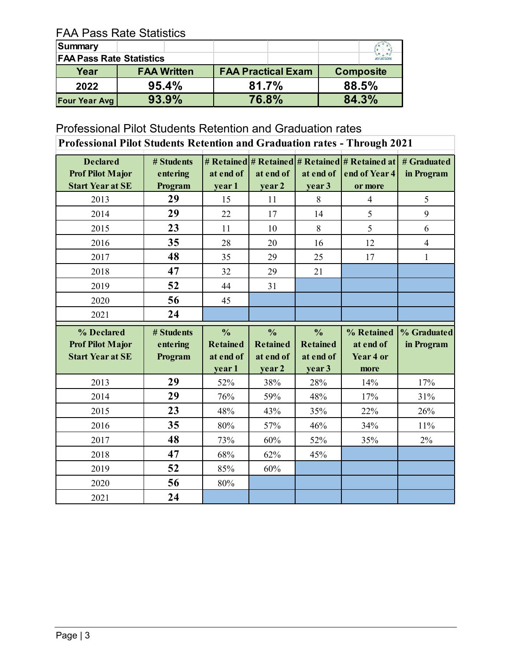## FAA Pass Rate Statistics

| Summary                         |                    |                           |                            |  |  |  |  |
|---------------------------------|--------------------|---------------------------|----------------------------|--|--|--|--|
| <b>FAA Pass Rate Statistics</b> |                    |                           | $x - x$<br><b>AVIATION</b> |  |  |  |  |
| Year                            | <b>FAA Written</b> | <b>FAA Practical Exam</b> | <b>Composite</b>           |  |  |  |  |
| 2022                            | 95.4%              | 81.7%                     | 88.5%                      |  |  |  |  |
| <b>Four Year Avg</b>            | 93.9%              | 76.8%                     | 84.3%                      |  |  |  |  |

# Professional Pilot Students Retention and Graduation rates

| <b>Professional Pilot Students Retention and Graduation rates - Through 2021</b> |                                   |                                               |                                               |                                               |                                                                                  |                           |  |  |  |  |  |  |
|----------------------------------------------------------------------------------|-----------------------------------|-----------------------------------------------|-----------------------------------------------|-----------------------------------------------|----------------------------------------------------------------------------------|---------------------------|--|--|--|--|--|--|
| <b>Declared</b><br><b>Prof Pilot Major</b><br><b>Start Year at SE</b>            | # Students<br>entering<br>Program | at end of<br>year 1                           | at end of<br>year 2                           | at end of<br>year 3                           | # Retained   # Retained   # Retained   # Retained at<br>end of Year 4<br>or more | # Graduated<br>in Program |  |  |  |  |  |  |
| 2013                                                                             | 29                                | 15                                            | 11                                            | 8                                             | $\overline{4}$                                                                   | 5                         |  |  |  |  |  |  |
| 2014                                                                             | 29                                | 22                                            | 17                                            | 14                                            | 5                                                                                | 9                         |  |  |  |  |  |  |
| 2015                                                                             | 23                                | 11                                            | 10                                            | 8                                             | 5                                                                                | 6                         |  |  |  |  |  |  |
| 2016                                                                             | 35                                | 28                                            | 20                                            | 16                                            | 12                                                                               | $\overline{4}$            |  |  |  |  |  |  |
| 2017                                                                             | 48                                | 35                                            | 29                                            | 25                                            | 17                                                                               | $\mathbf{1}$              |  |  |  |  |  |  |
| 2018                                                                             | 47                                | 32                                            | 29                                            | 21                                            |                                                                                  |                           |  |  |  |  |  |  |
| 2019                                                                             | 52                                | 44                                            | 31                                            |                                               |                                                                                  |                           |  |  |  |  |  |  |
| 2020                                                                             | 56                                | 45                                            |                                               |                                               |                                                                                  |                           |  |  |  |  |  |  |
| 2021                                                                             | 24                                |                                               |                                               |                                               |                                                                                  |                           |  |  |  |  |  |  |
|                                                                                  |                                   |                                               |                                               |                                               |                                                                                  |                           |  |  |  |  |  |  |
| % Declared<br><b>Prof Pilot Major</b><br><b>Start Year at SE</b>                 | # Students<br>entering<br>Program | $\frac{0}{0}$<br><b>Retained</b><br>at end of | $\frac{0}{0}$<br><b>Retained</b><br>at end of | $\frac{0}{0}$<br><b>Retained</b><br>at end of | % Retained<br>at end of<br>Year 4 or                                             | % Graduated<br>in Program |  |  |  |  |  |  |
| 2013                                                                             | 29                                | year 1<br>52%                                 | year 2<br>38%                                 | year 3<br>28%                                 | more<br>14%                                                                      | 17%                       |  |  |  |  |  |  |
| 2014                                                                             | 29                                | 76%                                           | 59%                                           | 48%                                           | 17%                                                                              | 31%                       |  |  |  |  |  |  |
| 2015                                                                             | 23                                | 48%                                           | 43%                                           | 35%                                           | 22%                                                                              | 26%                       |  |  |  |  |  |  |
| 2016                                                                             | 35                                | 80%                                           | 57%                                           | 46%                                           | 34%                                                                              | 11%                       |  |  |  |  |  |  |
| 2017                                                                             | 48                                | 73%                                           | 60%                                           | 52%                                           | 35%                                                                              | 2%                        |  |  |  |  |  |  |
| 2018                                                                             | 47                                | 68%                                           | 62%                                           | 45%                                           |                                                                                  |                           |  |  |  |  |  |  |
| 2019                                                                             | 52                                | 85%                                           | 60%                                           |                                               |                                                                                  |                           |  |  |  |  |  |  |
| 2020                                                                             | 56                                | 80%                                           |                                               |                                               |                                                                                  |                           |  |  |  |  |  |  |